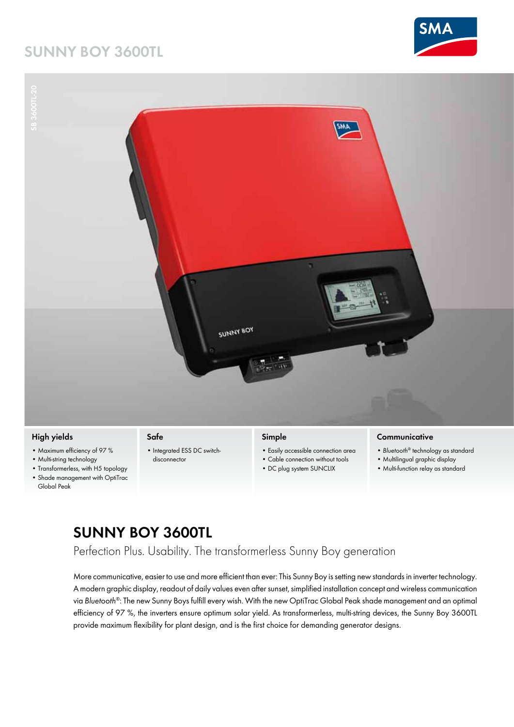### **Sunny Boy 3600TL**





- Multi-string technology
- Transformerless, with H5 topology
- • Shade management with OptiTrac
- Global Peak
- disconnector
- Cable connection without tools
- DC plug system SUNCLIX
- Multilingual graphic display
- • Multi-function relay as standard

#### **Sunny Boy 3600TL**

#### Perfection Plus. Usability. The transformerless Sunny Boy generation

More communicative, easier to use and more efficient than ever: This Sunny Boy is setting new standards in inverter technology. A modern graphic display, readout of daily values even after sunset, simplified installation concept and wireless communication via *Bluetooth®*: The new Sunny Boys fulfill every wish. With the new OptiTrac Global Peak shade management and an optimal efficiency of 97 %, the inverters ensure optimum solar yield. As transformerless, multi-string devices, the Sunny Boy 3600TL provide maximum flexibility for plant design, and is the first choice for demanding generator designs.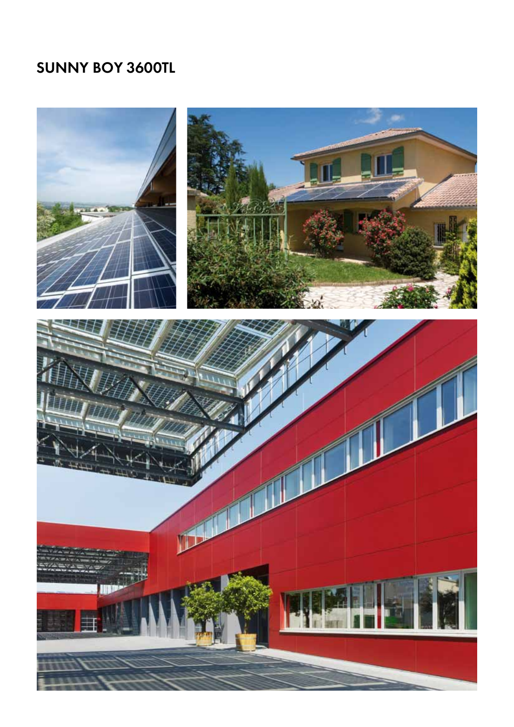# **Sunny Boy 3600TL**

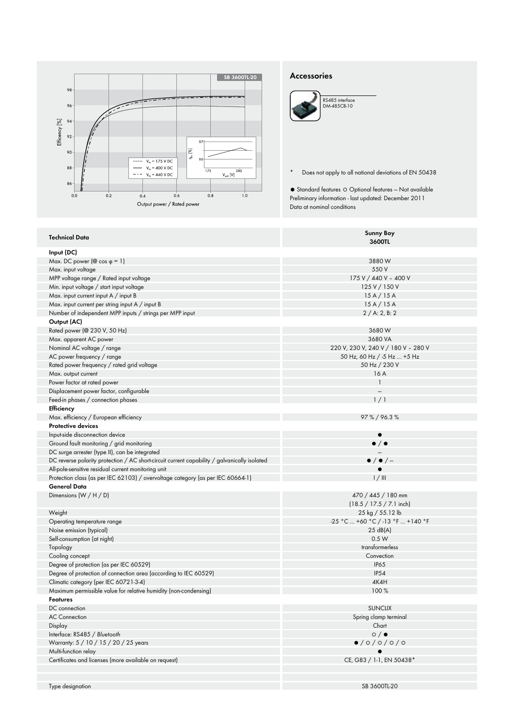

#### **Accessories**

| RS485 interface<br>DM-485CB-10 |
|--------------------------------|
|                                |
|                                |
|                                |

● Standard features ○ Optional features — Not available Preliminary information - last updated: December 2011 Data at nominal conditions

| Input (DC)<br>Max. DC power ( $\circledcirc$ cos $\circledcirc$ = 1)<br>3880W<br>550 V<br>Max. input voltage<br>175 V / 440 V - 400 V<br>MPP voltage range / Rated input voltage<br>Min. input voltage / start input voltage<br>125 V / 150 V<br>15A/15A<br>Max. input current input A / input B<br>15A/15A<br>Max. input current per string input A / input B<br>Number of independent MPP inputs / strings per MPP input<br>2 / A: 2, B: 2<br>Output (AC)<br>3680W<br>Rated power (@ 230 V, 50 Hz)<br>Max. apparent AC power<br>3680 VA<br>220 V, 230 V, 240 V / 180 V - 280 V<br>Nominal AC voltage / range<br>50 Hz, 60 Hz / -5 Hz  +5 Hz<br>AC power frequency / range<br>Rated power frequency / rated grid voltage<br>50 Hz / 230 V<br>Max. output current<br>16A<br>Power factor at rated power<br>Displacement power factor, configurable<br>Feed-in phases / connection phases<br>1/1<br>Efficiency<br>Max. efficiency / European efficiency<br>$97\% / 96.3\%$<br><b>Protective devices</b><br>Input-side disconnection device<br>$\bullet$<br>$\bullet$ / $\bullet$<br>Ground fault monitoring / grid monitoring<br>DC surge arrester (type II), can be integrated<br>$\bullet$ / $\bullet$ / $-$<br>DC reverse polarity protection / AC short-circuit current capability / galvanically isolated<br>All-pole-sensitive residual current monitoring unit<br>$\bullet$<br>Protection class (as per IEC 62103) / overvoltage category (as per IEC 60664-1)<br>1 / III<br>General Data<br>Dimensions $(W/H/D)$<br>470 / 445 / 180 mm<br>$(18.5 / 17.5 / 7.1$ inch)<br>25 kg / 55.12 lb<br>Weight<br>-25 °C  +60 °C / -13 °F  +140 °F<br>Operating temperature range<br>25 dB(A)<br>Noise emission (typical)<br>0.5 W<br>Self-consumption (at night)<br>transformerless<br>Topology<br>Cooling concept<br>Convection<br><b>IP65</b><br>Degree of protection (as per IEC 60529)<br><b>IP54</b><br>Degree of protection of connection area (according to IEC 60529)<br>Climatic category (per IEC 60721-3-4)<br>4K4H<br>100 %<br>Maximum permissible value for relative humidity (non-condensing)<br><b>Features</b><br><b>SUNCLIX</b><br>DC connection<br>Spring clamp terminal<br><b>AC Connection</b><br>Chart<br>Display<br>$\circ$ / $\bullet$<br>Interface: RS485 / Bluetooth<br>0/0/0/0/0<br>Warranty: 5 / 10 / 15 / 20 / 25 years<br>Multi-function relay<br>Certificates and licenses (more available on request)<br>CE, G83 / 1-1, EN 50438*<br>SB 3600TL-20<br>Type designation | <b>Technical Data</b> | <b>Sunny Boy</b><br>3600TL |
|--------------------------------------------------------------------------------------------------------------------------------------------------------------------------------------------------------------------------------------------------------------------------------------------------------------------------------------------------------------------------------------------------------------------------------------------------------------------------------------------------------------------------------------------------------------------------------------------------------------------------------------------------------------------------------------------------------------------------------------------------------------------------------------------------------------------------------------------------------------------------------------------------------------------------------------------------------------------------------------------------------------------------------------------------------------------------------------------------------------------------------------------------------------------------------------------------------------------------------------------------------------------------------------------------------------------------------------------------------------------------------------------------------------------------------------------------------------------------------------------------------------------------------------------------------------------------------------------------------------------------------------------------------------------------------------------------------------------------------------------------------------------------------------------------------------------------------------------------------------------------------------------------------------------------------------------------------------------------------------------------------------------------------------------------------------------------------------------------------------------------------------------------------------------------------------------------------------------------------------------------------------------------------------------------------------------------------------------------------------------------------------------------------------------------------------------------------------------------------------------------|-----------------------|----------------------------|
|                                                                                                                                                                                                                                                                                                                                                                                                                                                                                                                                                                                                                                                                                                                                                                                                                                                                                                                                                                                                                                                                                                                                                                                                                                                                                                                                                                                                                                                                                                                                                                                                                                                                                                                                                                                                                                                                                                                                                                                                                                                                                                                                                                                                                                                                                                                                                                                                                                                                                                  |                       |                            |
|                                                                                                                                                                                                                                                                                                                                                                                                                                                                                                                                                                                                                                                                                                                                                                                                                                                                                                                                                                                                                                                                                                                                                                                                                                                                                                                                                                                                                                                                                                                                                                                                                                                                                                                                                                                                                                                                                                                                                                                                                                                                                                                                                                                                                                                                                                                                                                                                                                                                                                  |                       |                            |
|                                                                                                                                                                                                                                                                                                                                                                                                                                                                                                                                                                                                                                                                                                                                                                                                                                                                                                                                                                                                                                                                                                                                                                                                                                                                                                                                                                                                                                                                                                                                                                                                                                                                                                                                                                                                                                                                                                                                                                                                                                                                                                                                                                                                                                                                                                                                                                                                                                                                                                  |                       |                            |
|                                                                                                                                                                                                                                                                                                                                                                                                                                                                                                                                                                                                                                                                                                                                                                                                                                                                                                                                                                                                                                                                                                                                                                                                                                                                                                                                                                                                                                                                                                                                                                                                                                                                                                                                                                                                                                                                                                                                                                                                                                                                                                                                                                                                                                                                                                                                                                                                                                                                                                  |                       |                            |
|                                                                                                                                                                                                                                                                                                                                                                                                                                                                                                                                                                                                                                                                                                                                                                                                                                                                                                                                                                                                                                                                                                                                                                                                                                                                                                                                                                                                                                                                                                                                                                                                                                                                                                                                                                                                                                                                                                                                                                                                                                                                                                                                                                                                                                                                                                                                                                                                                                                                                                  |                       |                            |
|                                                                                                                                                                                                                                                                                                                                                                                                                                                                                                                                                                                                                                                                                                                                                                                                                                                                                                                                                                                                                                                                                                                                                                                                                                                                                                                                                                                                                                                                                                                                                                                                                                                                                                                                                                                                                                                                                                                                                                                                                                                                                                                                                                                                                                                                                                                                                                                                                                                                                                  |                       |                            |
|                                                                                                                                                                                                                                                                                                                                                                                                                                                                                                                                                                                                                                                                                                                                                                                                                                                                                                                                                                                                                                                                                                                                                                                                                                                                                                                                                                                                                                                                                                                                                                                                                                                                                                                                                                                                                                                                                                                                                                                                                                                                                                                                                                                                                                                                                                                                                                                                                                                                                                  |                       |                            |
|                                                                                                                                                                                                                                                                                                                                                                                                                                                                                                                                                                                                                                                                                                                                                                                                                                                                                                                                                                                                                                                                                                                                                                                                                                                                                                                                                                                                                                                                                                                                                                                                                                                                                                                                                                                                                                                                                                                                                                                                                                                                                                                                                                                                                                                                                                                                                                                                                                                                                                  |                       |                            |
|                                                                                                                                                                                                                                                                                                                                                                                                                                                                                                                                                                                                                                                                                                                                                                                                                                                                                                                                                                                                                                                                                                                                                                                                                                                                                                                                                                                                                                                                                                                                                                                                                                                                                                                                                                                                                                                                                                                                                                                                                                                                                                                                                                                                                                                                                                                                                                                                                                                                                                  |                       |                            |
|                                                                                                                                                                                                                                                                                                                                                                                                                                                                                                                                                                                                                                                                                                                                                                                                                                                                                                                                                                                                                                                                                                                                                                                                                                                                                                                                                                                                                                                                                                                                                                                                                                                                                                                                                                                                                                                                                                                                                                                                                                                                                                                                                                                                                                                                                                                                                                                                                                                                                                  |                       |                            |
|                                                                                                                                                                                                                                                                                                                                                                                                                                                                                                                                                                                                                                                                                                                                                                                                                                                                                                                                                                                                                                                                                                                                                                                                                                                                                                                                                                                                                                                                                                                                                                                                                                                                                                                                                                                                                                                                                                                                                                                                                                                                                                                                                                                                                                                                                                                                                                                                                                                                                                  |                       |                            |
|                                                                                                                                                                                                                                                                                                                                                                                                                                                                                                                                                                                                                                                                                                                                                                                                                                                                                                                                                                                                                                                                                                                                                                                                                                                                                                                                                                                                                                                                                                                                                                                                                                                                                                                                                                                                                                                                                                                                                                                                                                                                                                                                                                                                                                                                                                                                                                                                                                                                                                  |                       |                            |
|                                                                                                                                                                                                                                                                                                                                                                                                                                                                                                                                                                                                                                                                                                                                                                                                                                                                                                                                                                                                                                                                                                                                                                                                                                                                                                                                                                                                                                                                                                                                                                                                                                                                                                                                                                                                                                                                                                                                                                                                                                                                                                                                                                                                                                                                                                                                                                                                                                                                                                  |                       |                            |
|                                                                                                                                                                                                                                                                                                                                                                                                                                                                                                                                                                                                                                                                                                                                                                                                                                                                                                                                                                                                                                                                                                                                                                                                                                                                                                                                                                                                                                                                                                                                                                                                                                                                                                                                                                                                                                                                                                                                                                                                                                                                                                                                                                                                                                                                                                                                                                                                                                                                                                  |                       |                            |
|                                                                                                                                                                                                                                                                                                                                                                                                                                                                                                                                                                                                                                                                                                                                                                                                                                                                                                                                                                                                                                                                                                                                                                                                                                                                                                                                                                                                                                                                                                                                                                                                                                                                                                                                                                                                                                                                                                                                                                                                                                                                                                                                                                                                                                                                                                                                                                                                                                                                                                  |                       |                            |
|                                                                                                                                                                                                                                                                                                                                                                                                                                                                                                                                                                                                                                                                                                                                                                                                                                                                                                                                                                                                                                                                                                                                                                                                                                                                                                                                                                                                                                                                                                                                                                                                                                                                                                                                                                                                                                                                                                                                                                                                                                                                                                                                                                                                                                                                                                                                                                                                                                                                                                  |                       |                            |
|                                                                                                                                                                                                                                                                                                                                                                                                                                                                                                                                                                                                                                                                                                                                                                                                                                                                                                                                                                                                                                                                                                                                                                                                                                                                                                                                                                                                                                                                                                                                                                                                                                                                                                                                                                                                                                                                                                                                                                                                                                                                                                                                                                                                                                                                                                                                                                                                                                                                                                  |                       |                            |
|                                                                                                                                                                                                                                                                                                                                                                                                                                                                                                                                                                                                                                                                                                                                                                                                                                                                                                                                                                                                                                                                                                                                                                                                                                                                                                                                                                                                                                                                                                                                                                                                                                                                                                                                                                                                                                                                                                                                                                                                                                                                                                                                                                                                                                                                                                                                                                                                                                                                                                  |                       |                            |
|                                                                                                                                                                                                                                                                                                                                                                                                                                                                                                                                                                                                                                                                                                                                                                                                                                                                                                                                                                                                                                                                                                                                                                                                                                                                                                                                                                                                                                                                                                                                                                                                                                                                                                                                                                                                                                                                                                                                                                                                                                                                                                                                                                                                                                                                                                                                                                                                                                                                                                  |                       |                            |
|                                                                                                                                                                                                                                                                                                                                                                                                                                                                                                                                                                                                                                                                                                                                                                                                                                                                                                                                                                                                                                                                                                                                                                                                                                                                                                                                                                                                                                                                                                                                                                                                                                                                                                                                                                                                                                                                                                                                                                                                                                                                                                                                                                                                                                                                                                                                                                                                                                                                                                  |                       |                            |
|                                                                                                                                                                                                                                                                                                                                                                                                                                                                                                                                                                                                                                                                                                                                                                                                                                                                                                                                                                                                                                                                                                                                                                                                                                                                                                                                                                                                                                                                                                                                                                                                                                                                                                                                                                                                                                                                                                                                                                                                                                                                                                                                                                                                                                                                                                                                                                                                                                                                                                  |                       |                            |
|                                                                                                                                                                                                                                                                                                                                                                                                                                                                                                                                                                                                                                                                                                                                                                                                                                                                                                                                                                                                                                                                                                                                                                                                                                                                                                                                                                                                                                                                                                                                                                                                                                                                                                                                                                                                                                                                                                                                                                                                                                                                                                                                                                                                                                                                                                                                                                                                                                                                                                  |                       |                            |
|                                                                                                                                                                                                                                                                                                                                                                                                                                                                                                                                                                                                                                                                                                                                                                                                                                                                                                                                                                                                                                                                                                                                                                                                                                                                                                                                                                                                                                                                                                                                                                                                                                                                                                                                                                                                                                                                                                                                                                                                                                                                                                                                                                                                                                                                                                                                                                                                                                                                                                  |                       |                            |
|                                                                                                                                                                                                                                                                                                                                                                                                                                                                                                                                                                                                                                                                                                                                                                                                                                                                                                                                                                                                                                                                                                                                                                                                                                                                                                                                                                                                                                                                                                                                                                                                                                                                                                                                                                                                                                                                                                                                                                                                                                                                                                                                                                                                                                                                                                                                                                                                                                                                                                  |                       |                            |
|                                                                                                                                                                                                                                                                                                                                                                                                                                                                                                                                                                                                                                                                                                                                                                                                                                                                                                                                                                                                                                                                                                                                                                                                                                                                                                                                                                                                                                                                                                                                                                                                                                                                                                                                                                                                                                                                                                                                                                                                                                                                                                                                                                                                                                                                                                                                                                                                                                                                                                  |                       |                            |
|                                                                                                                                                                                                                                                                                                                                                                                                                                                                                                                                                                                                                                                                                                                                                                                                                                                                                                                                                                                                                                                                                                                                                                                                                                                                                                                                                                                                                                                                                                                                                                                                                                                                                                                                                                                                                                                                                                                                                                                                                                                                                                                                                                                                                                                                                                                                                                                                                                                                                                  |                       |                            |
|                                                                                                                                                                                                                                                                                                                                                                                                                                                                                                                                                                                                                                                                                                                                                                                                                                                                                                                                                                                                                                                                                                                                                                                                                                                                                                                                                                                                                                                                                                                                                                                                                                                                                                                                                                                                                                                                                                                                                                                                                                                                                                                                                                                                                                                                                                                                                                                                                                                                                                  |                       |                            |
|                                                                                                                                                                                                                                                                                                                                                                                                                                                                                                                                                                                                                                                                                                                                                                                                                                                                                                                                                                                                                                                                                                                                                                                                                                                                                                                                                                                                                                                                                                                                                                                                                                                                                                                                                                                                                                                                                                                                                                                                                                                                                                                                                                                                                                                                                                                                                                                                                                                                                                  |                       |                            |
|                                                                                                                                                                                                                                                                                                                                                                                                                                                                                                                                                                                                                                                                                                                                                                                                                                                                                                                                                                                                                                                                                                                                                                                                                                                                                                                                                                                                                                                                                                                                                                                                                                                                                                                                                                                                                                                                                                                                                                                                                                                                                                                                                                                                                                                                                                                                                                                                                                                                                                  |                       |                            |
|                                                                                                                                                                                                                                                                                                                                                                                                                                                                                                                                                                                                                                                                                                                                                                                                                                                                                                                                                                                                                                                                                                                                                                                                                                                                                                                                                                                                                                                                                                                                                                                                                                                                                                                                                                                                                                                                                                                                                                                                                                                                                                                                                                                                                                                                                                                                                                                                                                                                                                  |                       |                            |
|                                                                                                                                                                                                                                                                                                                                                                                                                                                                                                                                                                                                                                                                                                                                                                                                                                                                                                                                                                                                                                                                                                                                                                                                                                                                                                                                                                                                                                                                                                                                                                                                                                                                                                                                                                                                                                                                                                                                                                                                                                                                                                                                                                                                                                                                                                                                                                                                                                                                                                  |                       |                            |
|                                                                                                                                                                                                                                                                                                                                                                                                                                                                                                                                                                                                                                                                                                                                                                                                                                                                                                                                                                                                                                                                                                                                                                                                                                                                                                                                                                                                                                                                                                                                                                                                                                                                                                                                                                                                                                                                                                                                                                                                                                                                                                                                                                                                                                                                                                                                                                                                                                                                                                  |                       |                            |
|                                                                                                                                                                                                                                                                                                                                                                                                                                                                                                                                                                                                                                                                                                                                                                                                                                                                                                                                                                                                                                                                                                                                                                                                                                                                                                                                                                                                                                                                                                                                                                                                                                                                                                                                                                                                                                                                                                                                                                                                                                                                                                                                                                                                                                                                                                                                                                                                                                                                                                  |                       |                            |
|                                                                                                                                                                                                                                                                                                                                                                                                                                                                                                                                                                                                                                                                                                                                                                                                                                                                                                                                                                                                                                                                                                                                                                                                                                                                                                                                                                                                                                                                                                                                                                                                                                                                                                                                                                                                                                                                                                                                                                                                                                                                                                                                                                                                                                                                                                                                                                                                                                                                                                  |                       |                            |
|                                                                                                                                                                                                                                                                                                                                                                                                                                                                                                                                                                                                                                                                                                                                                                                                                                                                                                                                                                                                                                                                                                                                                                                                                                                                                                                                                                                                                                                                                                                                                                                                                                                                                                                                                                                                                                                                                                                                                                                                                                                                                                                                                                                                                                                                                                                                                                                                                                                                                                  |                       |                            |
|                                                                                                                                                                                                                                                                                                                                                                                                                                                                                                                                                                                                                                                                                                                                                                                                                                                                                                                                                                                                                                                                                                                                                                                                                                                                                                                                                                                                                                                                                                                                                                                                                                                                                                                                                                                                                                                                                                                                                                                                                                                                                                                                                                                                                                                                                                                                                                                                                                                                                                  |                       |                            |
|                                                                                                                                                                                                                                                                                                                                                                                                                                                                                                                                                                                                                                                                                                                                                                                                                                                                                                                                                                                                                                                                                                                                                                                                                                                                                                                                                                                                                                                                                                                                                                                                                                                                                                                                                                                                                                                                                                                                                                                                                                                                                                                                                                                                                                                                                                                                                                                                                                                                                                  |                       |                            |
|                                                                                                                                                                                                                                                                                                                                                                                                                                                                                                                                                                                                                                                                                                                                                                                                                                                                                                                                                                                                                                                                                                                                                                                                                                                                                                                                                                                                                                                                                                                                                                                                                                                                                                                                                                                                                                                                                                                                                                                                                                                                                                                                                                                                                                                                                                                                                                                                                                                                                                  |                       |                            |
|                                                                                                                                                                                                                                                                                                                                                                                                                                                                                                                                                                                                                                                                                                                                                                                                                                                                                                                                                                                                                                                                                                                                                                                                                                                                                                                                                                                                                                                                                                                                                                                                                                                                                                                                                                                                                                                                                                                                                                                                                                                                                                                                                                                                                                                                                                                                                                                                                                                                                                  |                       |                            |
|                                                                                                                                                                                                                                                                                                                                                                                                                                                                                                                                                                                                                                                                                                                                                                                                                                                                                                                                                                                                                                                                                                                                                                                                                                                                                                                                                                                                                                                                                                                                                                                                                                                                                                                                                                                                                                                                                                                                                                                                                                                                                                                                                                                                                                                                                                                                                                                                                                                                                                  |                       |                            |
|                                                                                                                                                                                                                                                                                                                                                                                                                                                                                                                                                                                                                                                                                                                                                                                                                                                                                                                                                                                                                                                                                                                                                                                                                                                                                                                                                                                                                                                                                                                                                                                                                                                                                                                                                                                                                                                                                                                                                                                                                                                                                                                                                                                                                                                                                                                                                                                                                                                                                                  |                       |                            |
|                                                                                                                                                                                                                                                                                                                                                                                                                                                                                                                                                                                                                                                                                                                                                                                                                                                                                                                                                                                                                                                                                                                                                                                                                                                                                                                                                                                                                                                                                                                                                                                                                                                                                                                                                                                                                                                                                                                                                                                                                                                                                                                                                                                                                                                                                                                                                                                                                                                                                                  |                       |                            |
|                                                                                                                                                                                                                                                                                                                                                                                                                                                                                                                                                                                                                                                                                                                                                                                                                                                                                                                                                                                                                                                                                                                                                                                                                                                                                                                                                                                                                                                                                                                                                                                                                                                                                                                                                                                                                                                                                                                                                                                                                                                                                                                                                                                                                                                                                                                                                                                                                                                                                                  |                       |                            |
|                                                                                                                                                                                                                                                                                                                                                                                                                                                                                                                                                                                                                                                                                                                                                                                                                                                                                                                                                                                                                                                                                                                                                                                                                                                                                                                                                                                                                                                                                                                                                                                                                                                                                                                                                                                                                                                                                                                                                                                                                                                                                                                                                                                                                                                                                                                                                                                                                                                                                                  |                       |                            |
|                                                                                                                                                                                                                                                                                                                                                                                                                                                                                                                                                                                                                                                                                                                                                                                                                                                                                                                                                                                                                                                                                                                                                                                                                                                                                                                                                                                                                                                                                                                                                                                                                                                                                                                                                                                                                                                                                                                                                                                                                                                                                                                                                                                                                                                                                                                                                                                                                                                                                                  |                       |                            |
|                                                                                                                                                                                                                                                                                                                                                                                                                                                                                                                                                                                                                                                                                                                                                                                                                                                                                                                                                                                                                                                                                                                                                                                                                                                                                                                                                                                                                                                                                                                                                                                                                                                                                                                                                                                                                                                                                                                                                                                                                                                                                                                                                                                                                                                                                                                                                                                                                                                                                                  |                       |                            |
|                                                                                                                                                                                                                                                                                                                                                                                                                                                                                                                                                                                                                                                                                                                                                                                                                                                                                                                                                                                                                                                                                                                                                                                                                                                                                                                                                                                                                                                                                                                                                                                                                                                                                                                                                                                                                                                                                                                                                                                                                                                                                                                                                                                                                                                                                                                                                                                                                                                                                                  |                       |                            |
|                                                                                                                                                                                                                                                                                                                                                                                                                                                                                                                                                                                                                                                                                                                                                                                                                                                                                                                                                                                                                                                                                                                                                                                                                                                                                                                                                                                                                                                                                                                                                                                                                                                                                                                                                                                                                                                                                                                                                                                                                                                                                                                                                                                                                                                                                                                                                                                                                                                                                                  |                       |                            |
|                                                                                                                                                                                                                                                                                                                                                                                                                                                                                                                                                                                                                                                                                                                                                                                                                                                                                                                                                                                                                                                                                                                                                                                                                                                                                                                                                                                                                                                                                                                                                                                                                                                                                                                                                                                                                                                                                                                                                                                                                                                                                                                                                                                                                                                                                                                                                                                                                                                                                                  |                       |                            |
|                                                                                                                                                                                                                                                                                                                                                                                                                                                                                                                                                                                                                                                                                                                                                                                                                                                                                                                                                                                                                                                                                                                                                                                                                                                                                                                                                                                                                                                                                                                                                                                                                                                                                                                                                                                                                                                                                                                                                                                                                                                                                                                                                                                                                                                                                                                                                                                                                                                                                                  |                       |                            |
|                                                                                                                                                                                                                                                                                                                                                                                                                                                                                                                                                                                                                                                                                                                                                                                                                                                                                                                                                                                                                                                                                                                                                                                                                                                                                                                                                                                                                                                                                                                                                                                                                                                                                                                                                                                                                                                                                                                                                                                                                                                                                                                                                                                                                                                                                                                                                                                                                                                                                                  |                       |                            |

<sup>\*</sup> Does not apply to all national deviations of EN 50438